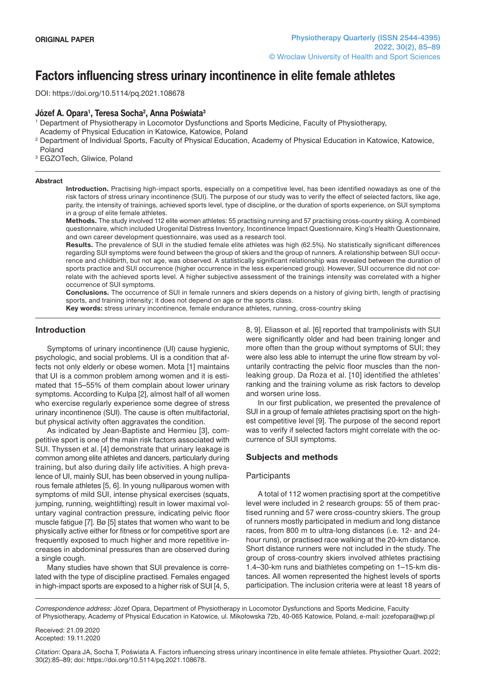# **Factors influencing stress urinary incontinence in elite female athletes**

doi: https://doi.org/10.5114/pq.2021.108678

# **Józef A. Opara1 , Teresa Socha2 , Anna Poświata3**

1 Department of Physiotherapy in Locomotor Dysfunctions and Sports Medicine, Faculty of Physiotherapy,

Academy of Physical Education in Katowice, Katowice, Poland

2 Department of Individual Sports, Faculty of Physical Education, Academy of Physical Education in Katowice, Katowice, Poland

<sup>3</sup> EGZOTech, Gliwice, Poland

#### **Abstract**

**Introduction.** Practising high-impact sports, especially on a competitive level, has been identified nowadays as one of the risk factors of stress urinary incontinence (SUI). The purpose of our study was to verify the effect of selected factors, like age, parity, the intensity of trainings, achieved sports level, type of discipline, or the duration of sports experience, on SUI symptoms in a group of elite female athletes.

**Methods.** The study involved 112 elite women athletes: 55 practising running and 57 practising cross-country skiing. A combined questionnaire, which included Urogenital Distress Inventory, Incontinence Impact Questionnaire, King's Health Questionnaire, and own career development questionnaire, was used as a research tool.

**Results.** The prevalence of SUI in the studied female elite athletes was high (62.5%). No statistically significant differences regarding SUI symptoms were found between the group of skiers and the group of runners. A relationship between SUI occurrence and childbirth, but not age, was observed. A statistically significant relationship was revealed between the duration of sports practice and SUI occurrence (higher occurrence in the less experienced group). However, SUI occurrence did not correlate with the achieved sports level. A higher subjective assessment of the trainings intensity was correlated with a higher occurrence of SUI symptoms.

**Conclusions.** The occurrence of SUI in female runners and skiers depends on a history of giving birth, length of practising sports, and training intensity; it does not depend on age or the sports class.

**Key words:** stress urinary incontinence, female endurance athletes, running, cross-country skiing

# **Introduction**

Symptoms of urinary incontinence (UI) cause hygienic, psychologic, and social problems. UI is a condition that affects not only elderly or obese women. Mota [1] maintains that UI is a common problem among women and it is estimated that 15–55% of them complain about lower urinary symptoms. According to Kulpa [2], almost half of all women who exercise regularly experience some degree of stress urinary incontinence (SUI). The cause is often multifactorial, but physical activity often aggravates the condition.

As indicated by Jean-Baptiste and Hermieu [3], competitive sport is one of the main risk factors associated with SUI. Thyssen et al. [4] demonstrate that urinary leakage is common among elite athletes and dancers, particularly during training, but also during daily life activities. A high prevalence of UI, mainly SUI, has been observed in young nulliparous female athletes [5, 6]. In young nulliparous women with symptoms of mild SUI, intense physical exercises (squats, jumping, running, weightlifting) result in lower maximal voluntary vaginal contraction pressure, indicating pelvic floor muscle fatigue [7]. Bø [5] states that women who want to be physically active either for fitness or for competitive sport are frequently exposed to much higher and more repetitive increases in abdominal pressures than are observed during a single cough.

Many studies have shown that SUI prevalence is correlated with the type of discipline practised. Females engaged in high-impact sports are exposed to a higher risk of SUI [4, 5, 8, 9]. Eliasson et al. [6] reported that trampolinists with SUI were significantly older and had been training longer and more often than the group without symptoms of SUI; they were also less able to interrupt the urine flow stream by voluntarily contracting the pelvic floor muscles than the nonleaking group. Da Roza et al. [10] identified the athletes' ranking and the training volume as risk factors to develop and worsen urine loss.

In our first publication, we presented the prevalence of SUI in a group of female athletes practising sport on the highest competitive level [9]. The purpose of the second report was to verify if selected factors might correlate with the occurrence of SUI symptoms.

# **Subjects and methods**

#### **Participants**

A total of 112 women practising sport at the competitive level were included in 2 research groups: 55 of them practised running and 57 were cross-country skiers. The group of runners mostly participated in medium and long distance races, from 800 m to ultra-long distances (i.e. 12- and 24 hour runs), or practised race walking at the 20-km distance. Short distance runners were not included in the study. The group of cross-country skiers involved athletes practising 1.4–30-km runs and biathletes competing on 1–15-km distances. All women represented the highest levels of sports participation. The inclusion criteria were at least 18 years of

*Correspondence address:* Józef Opara, Department of Physiotherapy in Locomotor Dysfunctions and Sports Medicine, Faculty of Physiotherapy, Academy of Physical Education in Katowice, ul. Mikołowska 72b, 40-065 Katowice, Poland, e-mail: jozefopara@wp.pl

Received: 21.09.2020 Accepted: 19.11.2020

*Citation*: Opara JA, Socha T, Poświata A. Factors influencing stress urinary incontinence in elite female athletes. Physiother Quart. 2022; 30(2):85–89; doi: https://doi.org/10.5114/pq.2021.108678.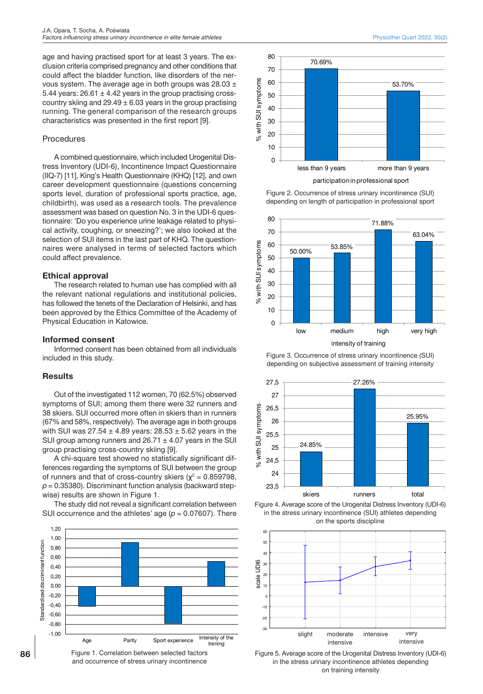age and having practised sport for at least 3 years. The exclusion criteria comprised pregnancy and other conditions that could affect the bladder function, like disorders of the nervous system. The average age in both groups was 28.03 ± 5.44 years:  $26.61 \pm 4.42$  years in the group practising crosscountry skiing and  $29.49 \pm 6.03$  years in the group practising running. The general comparison of the research groups characteristics was presented in the first report [9].

#### **Procedures**

A combined questionnaire, which included Urogenital Distress Inventory (UDI-6), Incontinence Impact Questionnaire (IIQ-7) [11], King's Health Questionnaire (KHQ) [12], and own career development questionnaire (questions concerning sports level, duration of professional sports practice, age, childbirth), was used as a research tools. The prevalence assessment was based on question No. 3 in the UDI-6 questionnaire: 'Do you experience urine leakage related to physical activity, coughing, or sneezing?'; we also looked at the selection of SUI items in the last part of KHQ. The questionnaires were analysed in terms of selected factors which could affect prevalence.

#### **Ethical approval**

The research related to human use has complied with all the relevant national regulations and institutional policies, has followed the tenets of the Declaration of Helsinki, and has been approved by the Ethics Committee of the Academy of Physical Education in Katowice.

# **Informed consent**

Informed consent has been obtained from all individuals included in this study.

# **Results**

Out of the investigated 112 women, 70 (62.5%) observed symptoms of SUI; among them there were 32 runners and 38 skiers. SUI occurred more often in skiers than in runners (67% and 58%, respectively). The average age in both groups with SUI was  $27.54 \pm 4.89$  years:  $28.53 \pm 5.62$  years in the SUI group among runners and  $26.71 \pm 4.07$  years in the SUI group practising cross-country skiing [9].

A chi-square test showed no statistically significant differences regarding the symptoms of SUI between the group of runners and that of cross-country skiers ( $\chi^2$  = 0.859798,  $p = 0.35380$ ). Discriminant function analysis (backward stepwise) results are shown in Figure 1.

The study did not reveal a significant correlation between SUI occurrence and the athletes' age (*p* = 0.07607). There



Physiother Quart 2022, 30(2)



Figure 2. Occurrence of stress urinary incontinence (SUI) depending on length of participation in professional sport



Figure 3. Occurrence of stress urinary incontinence (SUI) depending on subjective assessment of training intensity







Figure 5. Average score of the Urogenital Distress Inventory (UDI-6) in the stress urinary incontinence athletes depending on training intensity

Figure 1. Correlation between selected factors and occurrence of stress urinary incontinence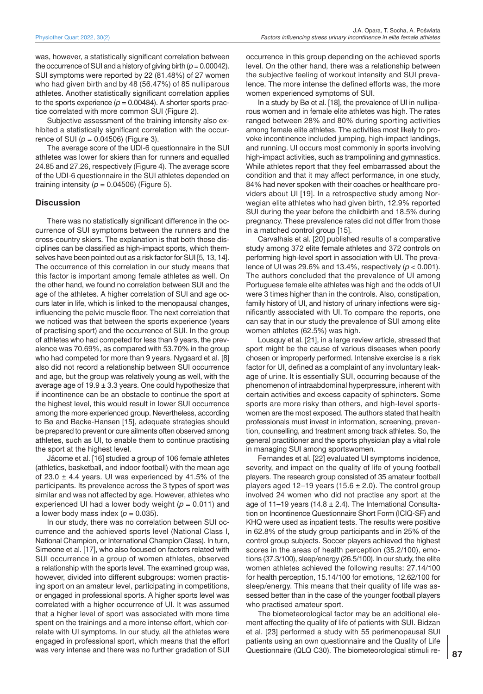was, however, a statistically significant correlation between the occurrence of SUI and a history of giving birth  $(p = 0.00042)$ . SUI symptoms were reported by 22 (81.48%) of 27 women who had given birth and by 48 (56.47%) of 85 nulliparous athletes. Another statistically significant correlation applies to the sports experience  $(p = 0.00484)$ . A shorter sports practice correlated with more common SUI (Figure 2).

Subjective assessment of the training intensity also exhibited a statistically significant correlation with the occurrence of SUI (*p* = 0.04506) (Figure 3).

The average score of the UDI-6 questionnaire in the SUI athletes was lower for skiers than for runners and equalled 24.85 and 27.26, respectively (Figure 4). The average score of the UDI-6 questionnaire in the SUI athletes depended on training intensity ( $p = 0.04506$ ) (Figure 5).

#### **Discussion**

There was no statistically significant difference in the occurrence of SUI symptoms between the runners and the cross-country skiers. The explanation is that both those disciplines can be classified as high-impact sports, which themselves have been pointed out as a risk factor for SUI [5, 13, 14]. The occurrence of this correlation in our study means that this factor is important among female athletes as well. On the other hand, we found no correlation between SUI and the age of the athletes. A higher correlation of SUI and age occurs later in life, which is linked to the menopausal changes, influencing the pelvic muscle floor. The next correlation that we noticed was that between the sports experience (years of practising sport) and the occurrence of SUI. In the group of athletes who had competed for less than 9 years, the prevalence was 70.69%, as compared with 53.70% in the group who had competed for more than 9 years. Nygaard et al. [8] also did not record a relationship between SUI occurrence and age, but the group was relatively young as well, with the average age of  $19.9 \pm 3.3$  years. One could hypothesize that if incontinence can be an obstacle to continue the sport at the highest level, this would result in lower SUI occurrence among the more experienced group. Nevertheless, according to Bø and Backe-Hansen [15], adequate strategies should be prepared to prevent or cure ailments often observed among athletes, such as UI, to enable them to continue practising the sport at the highest level.

Jácome et al. [16] studied a group of 106 female athletes (athletics, basketball, and indoor football) with the mean age of 23.0  $\pm$  4.4 years. UI was experienced by 41.5% of the participants. Its prevalence across the 3 types of sport was similar and was not affected by age. However, athletes who experienced UI had a lower body weight  $(p = 0.011)$  and a lower body mass index  $(p = 0.035)$ .

In our study, there was no correlation between SUI occurrence and the achieved sports level (National Class I, National Champion, or International Champion Class). In turn, Simeone et al. [17], who also focused on factors related with SUI occurrence in a group of women athletes, observed a relationship with the sports level. The examined group was, however, divided into different subgroups: women practising sport on an amateur level, participating in competitions, or engaged in professional sports. A higher sports level was correlated with a higher occurrence of UI. It was assumed that a higher level of sport was associated with more time spent on the trainings and a more intense effort, which correlate with UI symptoms. In our study, all the athletes were engaged in professional sport, which means that the effort was very intense and there was no further gradation of SUI

occurrence in this group depending on the achieved sports level. On the other hand, there was a relationship between the subjective feeling of workout intensity and SUI prevalence. The more intense the defined efforts was, the more women experienced symptoms of SUI.

In a study by Bø et al. [18], the prevalence of UI in nulliparous women and in female elite athletes was high. The rates ranged between 28% and 80% during sporting activities among female elite athletes. The activities most likely to provoke incontinence included jumping, high-impact landings, and running. UI occurs most commonly in sports involving high-impact activities, such as trampolining and gymnastics. While athletes report that they feel embarrassed about the condition and that it may affect performance, in one study, 84% had never spoken with their coaches or healthcare providers about UI [19]. In a retrospective study among Norwegian elite athletes who had given birth, 12.9% reported SUI during the year before the childbirth and 18.5% during pregnancy. These prevalence rates did not differ from those in a matched control group [15].

Carvalhais et al. [20] published results of a comparative study among 372 elite female athletes and 372 controls on performing high-level sport in association with UI. The prevalence of UI was 29.6% and 13.4%, respectively (*p* < 0.001). The authors concluded that the prevalence of UI among Portuguese female elite athletes was high and the odds of UI were 3 times higher than in the controls. Also, constipation, family history of UI, and history of urinary infections were significantly associated with UI. To compare the reports, one can say that in our study the prevalence of SUI among elite women athletes (62.5%) was high.

Lousquy et al. [21], in a large review article, stressed that sport might be the cause of various diseases when poorly chosen or improperly performed. Intensive exercise is a risk factor for UI, defined as a complaint of any involuntary leakage of urine. It is essentially SUI, occurring because of the phenomenon of intraabdominal hyperpressure, inherent with certain activities and excess capacity of sphincters. Some sports are more risky than others, and high-level sportswomen are the most exposed. The authors stated that health professionals must invest in information, screening, prevention, counselling, and treatment among track athletes. So, the general practitioner and the sports physician play a vital role in managing SUI among sportswomen.

Fernandes et al. [22] evaluated UI symptoms incidence, severity, and impact on the quality of life of young football players. The research group consisted of 35 amateur football players aged 12–19 years (15.6  $\pm$  2.0). The control group involved 24 women who did not practise any sport at the age of 11–19 years (14.8  $\pm$  2.4). The International Consultation on Incontinence Questionnaire Short Form (ICIQ-SF) and KHQ were used as inpatient tests. The results were positive in 62.8% of the study group participants and in 25% of the control group subjects. Soccer players achieved the highest scores in the areas of health perception (35.2/100), emotions (37.3/100), sleep/energy (26.5/100). In our study, the elite women athletes achieved the following results: 27.14/100 for health perception, 15.14/100 for emotions, 12.62/100 for sleep/energy. This means that their quality of life was assessed better than in the case of the younger football players who practised amateur sport.

The biometeorological factor may be an additional element affecting the quality of life of patients with SUI. Bidzan et al. [23] performed a study with 55 perimenopausal SUI patients using an own questionnaire and the Quality of Life Questionnaire (QLQ C30). The biometeorological stimuli re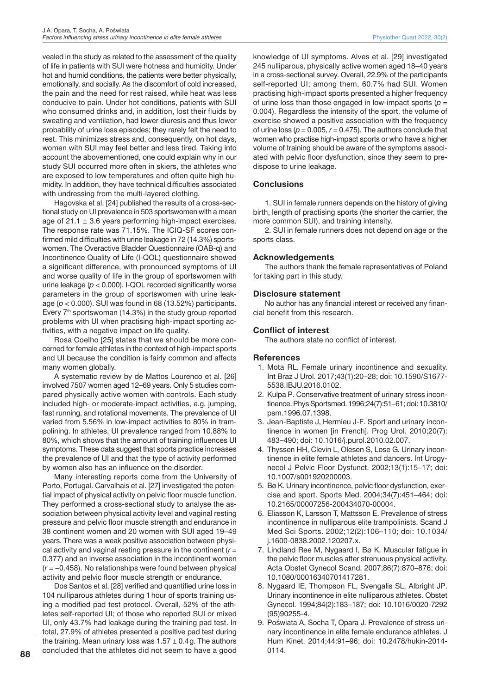vealed in the study as related to the assessment of the quality of life in patients with SUI were hotness and humidity. Under hot and humid conditions, the patients were better physically, emotionally, and socially. As the discomfort of cold increased, the pain and the need for rest raised, while heat was less conducive to pain. Under hot conditions, patients with SUI who consumed drinks and, in addition, lost their fluids by sweating and ventilation, had lower diuresis and thus lower probability of urine loss episodes; they rarely felt the need to rest. This minimizes stress and, consequently, on hot days, women with SUI may feel better and less tired. Taking into account the abovementioned, one could explain why in our study SUI occurred more often in skiers, the athletes who are exposed to low temperatures and often quite high humidity. In addition, they have technical difficulties associated with undressing from the multi-layered clothing.

Hagovska et al. [24] published the results of a cross-sectional study on UI prevalence in 503 sportswomen with a mean age of 21.1  $\pm$  3.6 years performing high-impact exercises. The response rate was 71.15%. The ICIQ-SF scores confirmed mild difficulties with urine leakage in 72 (14.3%) sportswomen. The Overactive Bladder Questionnaire (OAB-q) and Incontinence Quality of Life (I-QOL) questionnaire showed a significant difference, with pronounced symptoms of UI and worse quality of life in the group of sportswomen with urine leakage (*p* < 0.000). I-QOL recorded significantly worse parameters in the group of sportswomen with urine leakage (*p* < 0.000). SUI was found in 68 (13.52%) participants. Every  $7<sup>th</sup>$  sportswoman (14.3%) in the study group reported problems with UI when practising high-impact sporting activities, with a negative impact on life quality.

Rosa Coelho [25] states that we should be more concerned for female athletes in the context of high-impact sports and UI because the condition is fairly common and affects many women globally.

A systematic review by de Mattos Lourenco et al. [26] involved 7507 women aged 12–69 years. Only 5 studies compared physically active women with controls. Each study included high- or moderate-impact activities, e.g. jumping, fast running, and rotational movements. The prevalence of UI varied from 5.56% in low-impact activities to 80% in trampolining. In athletes, UI prevalence ranged from 10.88% to 80%, which shows that the amount of training influences UI symptoms. These data suggest that sports practice increases the prevalence of UI and that the type of activity performed by women also has an influence on the disorder.

Many interesting reports come from the University of Porto, Portugal. Carvalhais et al. [27] investigated the potential impact of physical activity on pelvic floor muscle function. They performed a cross-sectional study to analyse the association between physical activity level and vaginal resting pressure and pelvic floor muscle strength and endurance in 38 continent women and 20 women with SUI aged 19–49 years. There was a weak positive association between physical activity and vaginal resting pressure in the continent (*r* = 0.377) and an inverse association in the incontinent women (*r* = –0.458). No relationships were found between physical activity and pelvic floor muscle strength or endurance.

Dos Santos et al. [28] verified and quantified urine loss in 104 nulliparous athletes during 1hour of sports training using a modified pad test protocol. Overall, 52% of the athletes self-reported UI; of those who reported SUI or mixed UI, only 43.7% had leakage during the training pad test. In total, 27.9% of athletes presented a positive pad test during the training. Mean urinary loss was  $1.57 \pm 0.4$  g. The authors concluded that the athletes did not seem to have a good knowledge of UI symptoms. Alves et al. [29] investigated 245 nulliparous, physically active women aged 18–40 years in a cross-sectional survey. Overall, 22.9% of the participants self-reported UI; among them, 60.7% had SUI. Women practising high-impact sports presented a higher frequency of urine loss than those engaged in low-impact sports ( $p =$ 0.004). Regardless the intensity of the sport, the volume of exercise showed a positive association with the frequency of urine loss ( $p = 0.005$ ,  $r = 0.475$ ). The authors conclude that women who practise high-impact sports or who have a higher volume of training should be aware of the symptoms associated with pelvic floor dysfunction, since they seem to predispose to urine leakage.

# **Conclusions**

1. SUI in female runners depends on the history of giving birth, length of practising sports (the shorter the carrier, the more common SUI), and training intensity.

2. SUI in female runners does not depend on age or the sports class.

# **Acknowledgements**

The authors thank the female representatives of Poland for taking part in this study.

#### **Disclosure statement**

No author has any financial interest or received any financial benefit from this research.

# **Conflict of interest**

The authors state no conflict of interest.

#### **References**

- 1. Mota RL. Female urinary incontinence and sexuality. Int Braz J Urol. 2017;43(1):20–28; doi: 10.1590/S1677- 5538.IBJU.2016.0102.
- 2. Kulpa P. Conservative treatment of urinary stress incontinence. Phys Sportsmed. 1996;24(7):51–61; doi: 10.3810/ psm.1996.07.1398.
- 3. Jean-Baptiste J, Hermieu J-F. Sport and urinary incontinence in women [in French]. Prog Urol. 2010;20(7): 483–490; doi: 10.1016/j.purol.2010.02.007.
- 4. Thyssen HH, Clevin L, Olesen S, Lose G. Urinary incontinence in elite female athletes and dancers. Int Urogynecol J Pelvic Floor Dysfunct. 2002;13(1):15–17; doi: 10.1007/s001920200003.
- 5. Bø K. Urinary incontinence, pelvic floor dysfunction, exercise and sport. Sports Med. 2004;34(7):451–464; doi: 10.2165/00007256-200434070-00004.
- 6. Eliasson K, Larsson T, Mattsson E. Prevalence of stress incontinence in nulliparous elite trampolinists. Scand J Med Sci Sports. 2002;12(2):106–110; doi: 10.1034/ j.1600-0838.2002.120207.x.
- 7. Lindland Ree M, Nygaard I, Bø K. Muscular fatigue in the pelvic floor muscles after strenuous physical activity. Acta Obstet Gynecol Scand. 2007;86(7):870–876; doi: 10.1080/00016340701417281.
- 8. Nygaard IE, Thompson FL, Svengalis SL, Albright JP. Urinary incontinence in elite nulliparous athletes. Obstet Gynecol. 1994;84(2):183–187; doi: 10.1016/0020-7292 (95)90255-4.
- 9. Poświata A, Socha T, Opara J. Prevalence of stress urinary incontinence in elite female endurance athletes. J Hum Kinet. 2014;44:91–96; doi: 10.2478/hukin-2014- 0114.